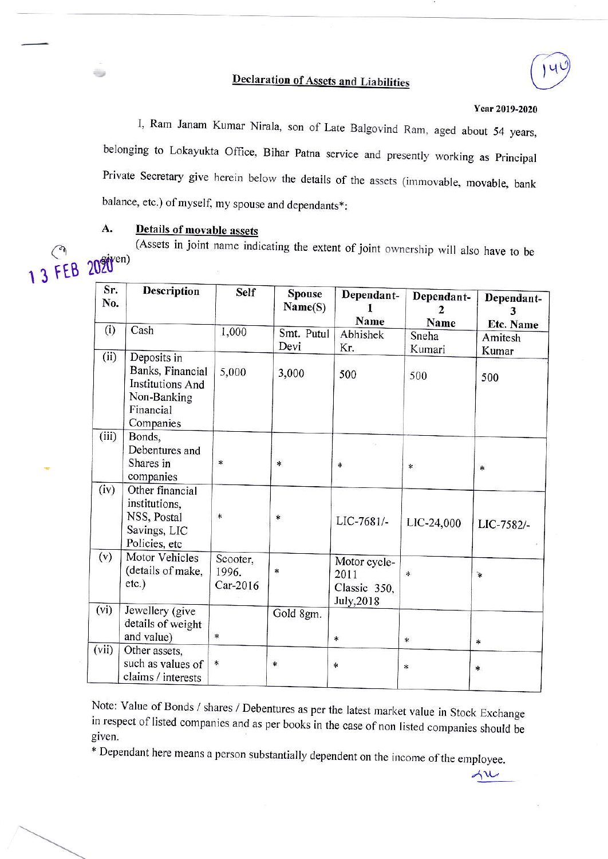## **Declaration of Assets and Liabilities**



 $\Lambda u$ 

I, Ram Janam Kumar Nirala, son of Late Balgovind Ram, aged about 54 years, belonging to Lokayukta Office, Bihar Patna service and presently working as Principal Private Secretary give herein below the details of the assets (immovable, movable, bank balance, etc.) of myself, my spouse and dependants\*:

## Details of movable assets A.

13FEB

(Assets in joint name indicating the extent of joint ownership will also have to be 2020<sup>eiyen)</sup>

| Sr.<br>No. | <b>Description</b>                                                                                  | <b>Self</b>                   | <b>Spouse</b><br>Name(S) | Dependant-<br>Name                                 | Dependant-<br>2<br>Name | Dependant-<br>3      |
|------------|-----------------------------------------------------------------------------------------------------|-------------------------------|--------------------------|----------------------------------------------------|-------------------------|----------------------|
| (i)        | Cash                                                                                                | 1,000                         | Smt. Putul               | Abhishek                                           | Sneha                   | Etc. Name<br>Amitesh |
|            |                                                                                                     |                               | Devi                     | Kr.                                                | Kumari                  | Kumar                |
| (ii)       | Deposits in<br>Banks, Financial<br><b>Institutions And</b><br>Non-Banking<br>Financial<br>Companies | 5,000                         | 3,000                    | 500                                                | 500                     | 500                  |
| (iii)      | Bonds,<br>Debentures and<br>Shares in<br>companies                                                  | $\ast$                        | $\ast$                   | $\ast$                                             | ∗                       | $\ast$               |
| (iv)       | Other financial<br>institutions,<br>NSS, Postal<br>Savings, LIC<br>Policies, etc                    | $\ast$                        | *                        | LIC-7681/-                                         | LIC-24,000              | LIC-7582/-           |
| (v)        | Motor Vehicles<br>(details of make,<br>etc.)                                                        | Scooter,<br>1996.<br>Car-2016 | *                        | Motor cycle-<br>2011<br>Classic 350,<br>July, 2018 | *                       | $\mathbf{r}$         |
| (vi)       | Jewellery (give<br>details of weight<br>and value)                                                  | *                             | Gold 8gm.                | $\ast$                                             | $\ast$                  | *                    |
| (vii)      | Other assets,<br>such as values of<br>claims / interests                                            | $\ast$                        | $\ast$                   | ∗                                                  | ÷                       | $\ast$               |

Note: Value of Bonds / shares / Debentures as per the latest market value in Stock Exchange in respect of listed companies and as per books in the case of non listed companies should be given.

\* Dependant here means a person substantially dependent on the income of the employee.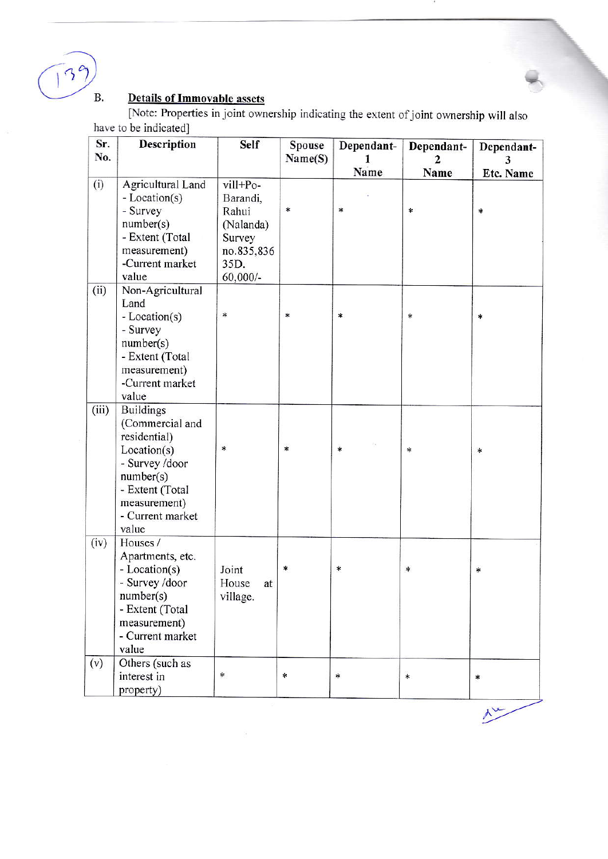139 B.

## **Details of Immovable assets**

[Note: Properties in joint ownership indicating the extent of joint ownership will also have to be indicated]

| Sr.<br>No. | Description                                                                                                                                                       | <b>Self</b>                                                                              | Spouse  | Dependant- | Dependant- | Dependant-       |
|------------|-------------------------------------------------------------------------------------------------------------------------------------------------------------------|------------------------------------------------------------------------------------------|---------|------------|------------|------------------|
|            |                                                                                                                                                                   |                                                                                          | Name(S) | 1<br>Name  | 2<br>Name  | 3<br>Etc. Name   |
| (i)        | Agricultural Land<br>- Location(s)<br>- Survey<br>number(s)<br>- Extent (Total<br>measurement)<br>-Current market<br>value                                        | vill+Po-<br>Barandi,<br>Rahui<br>(Nalanda)<br>Survey<br>no.835,836<br>35D.<br>$60,000/-$ | ∗       | $\ast$     | $\ast$     | *                |
| (ii)       | Non-Agricultural<br>Land<br>- Location(s)<br>- Survey<br>number(s)<br>- Extent (Total<br>measurement)<br>-Current market<br>value                                 | *                                                                                        | $\ast$  | $\ast$     | *          | ∗                |
| (iii)      | <b>Buildings</b><br>(Commercial and<br>residential)<br>Location(s)<br>- Survey /door<br>number(s)<br>- Extent (Total<br>measurement)<br>- Current market<br>value | $\ast$                                                                                   | $\star$ | $\ast$     | ∗          | $\ast$           |
| (iv)       | Houses /<br>Apartments, etc.<br>- Location(s)<br>- Survey /door<br>number(s)<br>- Extent (Total<br>measurement)<br>- Current market<br>value                      | Joint<br>House<br>at<br>village.                                                         | *       | ∗          | *          | $\ast$           |
| (v)        | Others (such as<br>interest in<br>property)                                                                                                                       | $\ast$                                                                                   | $\ast$  | $\ast$     | $\ast$     | $\ast$           |
|            |                                                                                                                                                                   |                                                                                          |         |            |            | $\lambda^{\vee}$ |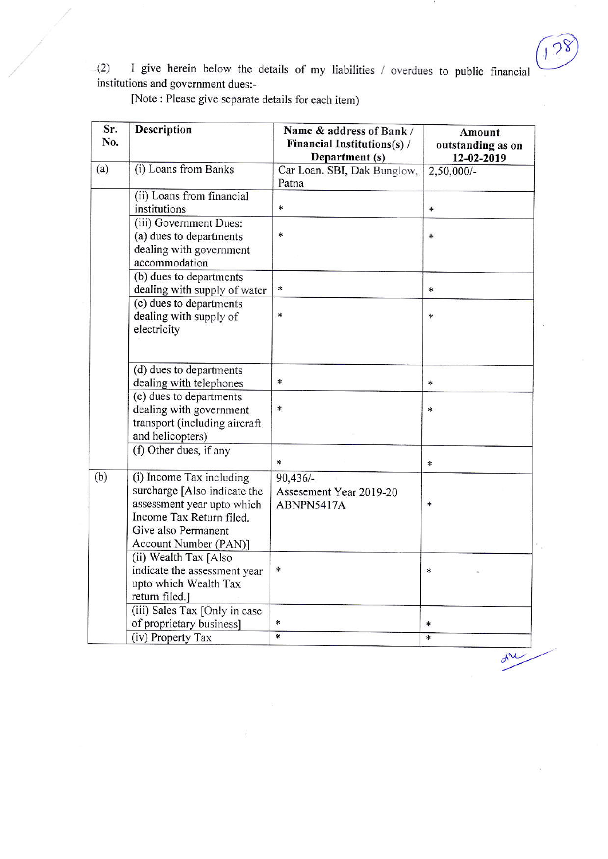18

 $d^{\prime\prime}$ 

 $i(2)$  I give herein below the details of my liabilities / overdues to public financial institutions and government dues:-

[Note : Please give separate details for each item)

| Sr.<br>No. | <b>Description</b>                                                                                                                                                 | Name & address of Bank /<br><b>Financial Institutions(s)/</b><br>Department (s) | Amount<br>outstanding as on<br>12-02-2019<br>2,50,000/- |  |
|------------|--------------------------------------------------------------------------------------------------------------------------------------------------------------------|---------------------------------------------------------------------------------|---------------------------------------------------------|--|
| (a)        | (i) Loans from Banks                                                                                                                                               | Car Loan. SBI, Dak Bunglow,<br>Patna                                            |                                                         |  |
|            | (ii) Loans from financial<br>institutions                                                                                                                          | *                                                                               | $\ast$                                                  |  |
|            | (iii) Government Dues:<br>(a) dues to departments<br>dealing with government<br>accommodation                                                                      | $\ast$                                                                          | $*$                                                     |  |
|            | (b) dues to departments<br>dealing with supply of water                                                                                                            | $\ast$                                                                          | $\ast$                                                  |  |
|            | (c) dues to departments<br>dealing with supply of<br>electricity                                                                                                   | $\ast$                                                                          | $\ast$                                                  |  |
|            | (d) dues to departments<br>dealing with telephones                                                                                                                 | $\ast$                                                                          | *                                                       |  |
|            | (e) dues to departments<br>dealing with government<br>transport (including aircraft<br>and helicopters)                                                            | $\ast$                                                                          | $\ast$                                                  |  |
|            | (f) Other dues, if any                                                                                                                                             | $\ast$                                                                          | $\sim$                                                  |  |
| (b)        | (i) Income Tax including<br>surcharge [Also indicate the<br>assessment year upto which<br>Income Tax Return filed.<br>Give also Permanent<br>Account Number (PAN)] | $90,436/-$<br>Assesement Year 2019-20<br>ABNPN5417A                             | $\ast$                                                  |  |
|            | (ii) Wealth Tax [Also<br>indicate the assessment year<br>upto which Wealth Tax<br>return filed.]                                                                   | $\ast$                                                                          | $\ast$                                                  |  |
|            | (iii) Sales Tax [Only in case<br>of proprietary business]                                                                                                          | $\ast$                                                                          | $\ast$                                                  |  |
|            | (iv) Property Tax                                                                                                                                                  | $\overline{\ast}$                                                               | $\ast$                                                  |  |